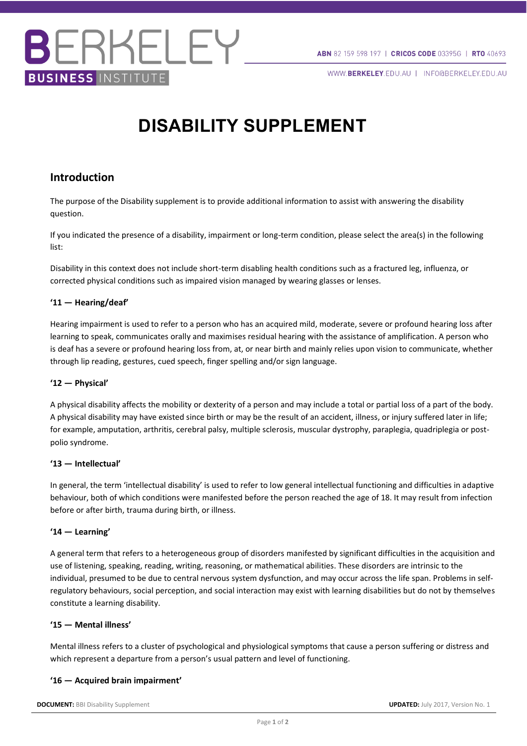WWW.BERKELEY.EDU.AU | INFO@BERKELEY.EDU.AU

## **DISABILITY SUPPLEMENT**

### **Introduction**

**BUSINESS INSTITUTE** 

ERKELEY

The purpose of the Disability supplement is to provide additional information to assist with answering the disability question.

If you indicated the presence of a disability, impairment or long-term condition, please select the area(s) in the following list:

Disability in this context does not include short-term disabling health conditions such as a fractured leg, influenza, or corrected physical conditions such as impaired vision managed by wearing glasses or lenses.

#### **'11 — Hearing/deaf'**

Hearing impairment is used to refer to a person who has an acquired mild, moderate, severe or profound hearing loss after learning to speak, communicates orally and maximises residual hearing with the assistance of amplification. A person who is deaf has a severe or profound hearing loss from, at, or near birth and mainly relies upon vision to communicate, whether through lip reading, gestures, cued speech, finger spelling and/or sign language.

#### **'12 — Physical'**

A physical disability affects the mobility or dexterity of a person and may include a total or partial loss of a part of the body. A physical disability may have existed since birth or may be the result of an accident, illness, or injury suffered later in life; for example, amputation, arthritis, cerebral palsy, multiple sclerosis, muscular dystrophy, paraplegia, quadriplegia or postpolio syndrome.

#### **'13 — Intellectual'**

In general, the term 'intellectual disability' is used to refer to low general intellectual functioning and difficulties in adaptive behaviour, both of which conditions were manifested before the person reached the age of 18. It may result from infection before or after birth, trauma during birth, or illness.

#### **'14 — Learning'**

A general term that refers to a heterogeneous group of disorders manifested by significant difficulties in the acquisition and use of listening, speaking, reading, writing, reasoning, or mathematical abilities. These disorders are intrinsic to the individual, presumed to be due to central nervous system dysfunction, and may occur across the life span. Problems in selfregulatory behaviours, social perception, and social interaction may exist with learning disabilities but do not by themselves constitute a learning disability.

#### **'15 — Mental illness'**

Mental illness refers to a cluster of psychological and physiological symptoms that cause a person suffering or distress and which represent a departure from a person's usual pattern and level of functioning.

#### **'16 — Acquired brain impairment'**

**DOCUMENT:** BBI Disability Supplement **UPDATED:** July 2017, Version No. 1